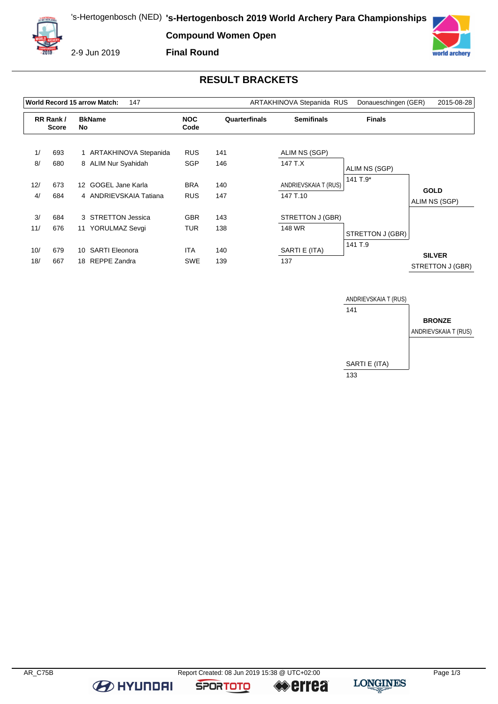**Compound Women Open**



2-9 Jun 2019





## **RESULT BRACKETS**

| World Record 15 arrow Match:<br>147<br>ARTAKHINOVA Stepanida RUS |                          |                 |                         |            |               |                      | Donaueschingen (GER) | 2015-08-28                        |
|------------------------------------------------------------------|--------------------------|-----------------|-------------------------|------------|---------------|----------------------|----------------------|-----------------------------------|
|                                                                  | RR Rank/<br><b>Score</b> |                 | <b>BkName</b><br>No     |            | Quarterfinals | <b>Semifinals</b>    | <b>Finals</b>        |                                   |
| 1/                                                               | 693                      |                 | 1 ARTAKHINOVA Stepanida | <b>RUS</b> | 141           | ALIM NS (SGP)        |                      |                                   |
| 8/                                                               | 680                      |                 | 8 ALIM Nur Syahidah     | <b>SGP</b> | 146           | 147 T.X              | ALIM NS (SGP)        |                                   |
| 12/                                                              | 673                      | 12 <sup>1</sup> | GOGEL Jane Karla        | <b>BRA</b> | 140           | ANDRIEVSKAIA T (RUS) | 141 $T.9*$           |                                   |
| 4/                                                               | 684                      |                 | 4 ANDRIEVSKAIA Tatiana  | <b>RUS</b> | 147           | 147 T.10             |                      | <b>GOLD</b><br>ALIM NS (SGP)      |
| 3/                                                               | 684                      |                 | 3 STRETTON Jessica      | <b>GBR</b> | 143           | STRETTON J (GBR)     |                      |                                   |
| 11/                                                              | 676                      |                 | 11 YORULMAZ Sevgi       | TUR        | 138           | 148 WR               | STRETTON J (GBR)     |                                   |
| 10/                                                              | 679                      | 10              | <b>SARTI Eleonora</b>   | <b>ITA</b> | 140           | SARTI E (ITA)        | 141 T.9              |                                   |
| 18/                                                              | 667                      |                 | 18 REPPE Zandra         | <b>SWE</b> | 139           | 137                  |                      | <b>SILVER</b><br>STRETTON J (GBR) |



**B** HYUNDAI

**SPORTOTO** 

**errea**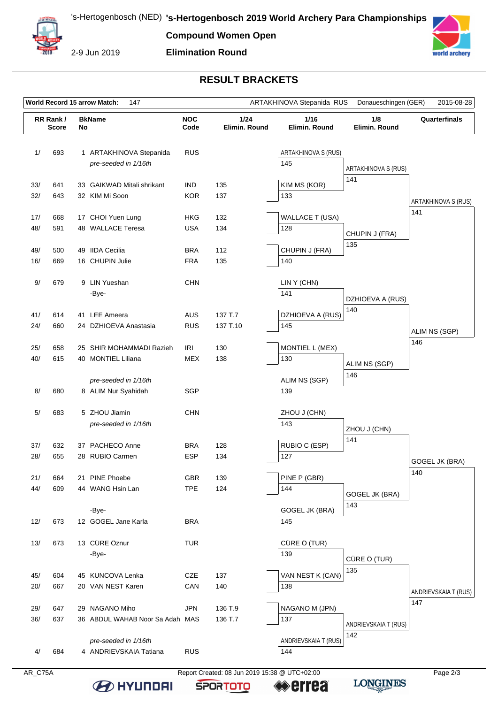**Compound Women Open**



2-9 Jun 2019

#### **Elimination Round**



### **RESULT BRACKETS**

| World Record 15 arrow Match:<br>ARTAKHINOVA Stepanida RUS<br>Donaueschingen (GER)<br>2015-08-28<br>147 |                                          |  |                                                 |                       |                       |                            |                      |                      |
|--------------------------------------------------------------------------------------------------------|------------------------------------------|--|-------------------------------------------------|-----------------------|-----------------------|----------------------------|----------------------|----------------------|
|                                                                                                        | RR Rank/<br><b>BkName</b><br>No<br>Score |  | <b>NOC</b><br>Code                              | 1/24<br>Elimin. Round | 1/16<br>Elimin. Round | 1/8<br>Elimin. Round       | Quarterfinals        |                      |
| 1/                                                                                                     | 693                                      |  | 1 ARTAKHINOVA Stepanida<br>pre-seeded in 1/16th | <b>RUS</b>            |                       | ARTAKHINOVA S (RUS)<br>145 | ARTAKHINOVA S (RUS)  |                      |
| 33/                                                                                                    | 641                                      |  | 33 GAIKWAD Mitali shrikant                      | <b>IND</b>            | 135                   | KIM MS (KOR)               | 141                  |                      |
| 32/                                                                                                    | 643                                      |  | 32 KIM Mi Soon                                  | <b>KOR</b>            | 137                   | 133                        |                      | ARTAKHINOVA S (RUS)  |
| 17/                                                                                                    | 668                                      |  | 17 CHOI Yuen Lung                               | <b>HKG</b>            | 132                   | <b>WALLACE T (USA)</b>     |                      | 141                  |
| 48/                                                                                                    | 591                                      |  | 48 WALLACE Teresa                               | <b>USA</b>            | 134                   | 128                        | CHUPIN J (FRA)       |                      |
| 49/                                                                                                    | 500                                      |  | 49 IIDA Cecilia                                 | <b>BRA</b>            | 112                   | CHUPIN J (FRA)             | 135                  |                      |
| 16/                                                                                                    | 669                                      |  | 16 CHUPIN Julie                                 | <b>FRA</b>            | 135                   | 140                        |                      |                      |
| 9/                                                                                                     | 679                                      |  | 9 LIN Yueshan<br>-Bye-                          | <b>CHN</b>            |                       | LIN Y (CHN)<br>141         | DZHIOEVA A (RUS)     |                      |
| 41/                                                                                                    | 614                                      |  | 41 LEE Ameera                                   | AUS                   | 137 T.7               | DZHIOEVA A (RUS)           | 140                  |                      |
| 24/                                                                                                    | 660                                      |  | 24 DZHIOEVA Anastasia                           | <b>RUS</b>            | 137 T.10              | 145                        |                      | ALIM NS (SGP)        |
| 25/                                                                                                    | 658                                      |  | 25 SHIR MOHAMMADI Razieh                        | IRI                   | 130                   | MONTIEL L (MEX)            |                      | 146                  |
| 40/                                                                                                    | 615                                      |  | 40 MONTIEL Liliana                              | <b>MEX</b>            | 138                   | 130                        | ALIM NS (SGP)        |                      |
|                                                                                                        |                                          |  | pre-seeded in 1/16th                            |                       |                       | ALIM NS (SGP)              | 146                  |                      |
| 8/                                                                                                     | 680                                      |  | 8 ALIM Nur Syahidah                             | SGP                   |                       | 139                        |                      |                      |
| 5/                                                                                                     | 683                                      |  | 5 ZHOU Jiamin<br>pre-seeded in 1/16th           | <b>CHN</b>            |                       | ZHOU J (CHN)<br>143        | ZHOU J (CHN)         |                      |
| 37/                                                                                                    | 632                                      |  | 37 PACHECO Anne                                 | <b>BRA</b>            | 128                   | RUBIO C (ESP)              | 141                  |                      |
| 28/                                                                                                    | 655                                      |  | 28 RUBIO Carmen                                 | <b>ESP</b>            | 134                   | 127                        |                      | GOGEL JK (BRA)       |
| $21/$                                                                                                  | 664                                      |  | 21 PINE Phoebe                                  | GBR                   | 139                   | PINE P (GBR)               |                      | 140                  |
| 44/                                                                                                    | 609                                      |  | 44 WANG Hsin Lan                                | <b>TPE</b>            | 124                   | 144                        | GOGEL JK (BRA)       |                      |
|                                                                                                        |                                          |  | -Bye-                                           |                       |                       | GOGEL JK (BRA)             | 143                  |                      |
| 12/                                                                                                    | 673                                      |  | 12 GOGEL Jane Karla                             | <b>BRA</b>            |                       | 145                        |                      |                      |
| 13/                                                                                                    | 673                                      |  | 13 CÜRE Öznur                                   | <b>TUR</b>            |                       | CÜRE Ö (TUR)               |                      |                      |
|                                                                                                        |                                          |  | -Bye-                                           |                       |                       | 139                        | CÜRE Ö (TUR)         |                      |
| 45/                                                                                                    | 604                                      |  | 45 KUNCOVA Lenka                                | CZE                   | 137                   | VAN NEST K (CAN)           | 135                  |                      |
| 20/                                                                                                    | 667                                      |  | 20 VAN NEST Karen                               | CAN                   | 140                   | 138                        |                      | ANDRIEVSKAIA T (RUS) |
| 29/                                                                                                    | 647                                      |  | 29 NAGANO Miho                                  | JPN                   | 136 T.9               | NAGANO M (JPN)             |                      | 147                  |
| 36/                                                                                                    | 637                                      |  | 36 ABDUL WAHAB Noor Sa Adah MAS                 |                       | 136 T.7               | 137                        | ANDRIEVSKAIA T (RUS) |                      |
|                                                                                                        |                                          |  | pre-seeded in 1/16th                            |                       |                       | ANDRIEVSKAIA T (RUS)       | 142                  |                      |
| 4/                                                                                                     | 684                                      |  | 4 ANDRIEVSKAIA Tatiana                          | <b>RUS</b>            |                       | 144                        |                      |                      |

**B** HYUNDAI

AR\_C75A Report Created: 08 Jun 2019 15:38 @ UTC+02:00 **errea** 

**SPORTOTO** 

**LONGINES**